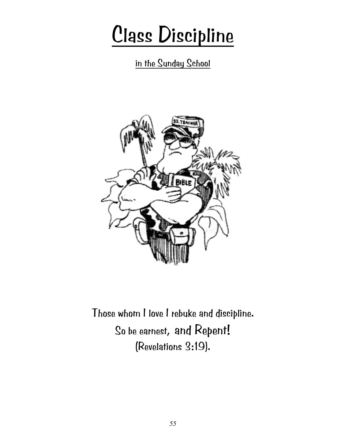# Class Discipline

in the Sunday School



Those whom I love I rebuke and discipline. So be earnest, and Repent! (Revelations 3:19).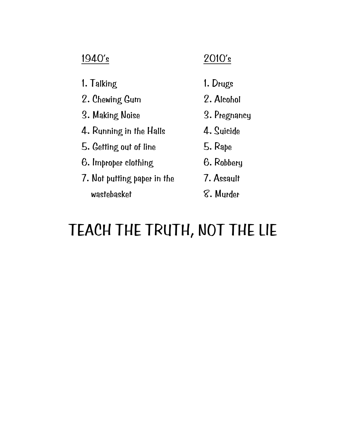## 1940's 2010's

- 1. Talking 1. Drugs
- 2. Chewing Gum 2. Alcohol
- 3. Making Noise 3. Pregnancy
- 4. Running in the Halls 4. Suicide
- 5. Getting out of line 5. Rape
- 6. Improper clothing 6. Robbery
- 7. Not putting paper in the 7. Assault wastebasket  $\mathcal{S}.$  Murder
- 
- 
- -
	-
	-
	-

# TEACH THE TRUTH, NOT THE LIE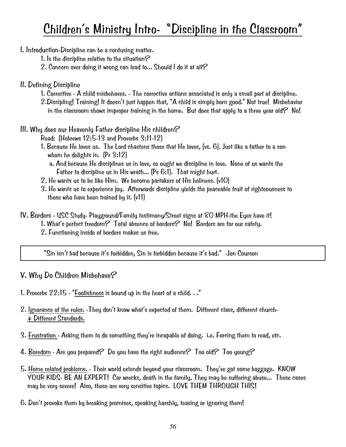## Children's Ministry Intro- "Discipline in the Classroom"

I. Introduction-Discipline can be a confusing matter.

- 1. Is the discipline relative to the situation  $\mathcal C$
- 2. Concern over doing it wrong can lead to... Should I do it at all?
- II. Defining Discipline
	- 1. Corrective A child misbehaves. The corrective actions associated is only a small part of discipline.
	- 2.Discipling! Training! It doesn't just happen that, "A child is simply born good." Not true! Misbehavior in the classroom shows improper training in the home. But does that apply to a three year old? No!
- III. Why does our Heavenly Father discipline His children $\mathcal C$ 
	- Read: (Hebrews 12:5-13 and Proverbs 3:11-12)
	- 1. Because He loves us. The Lord chastens those that He loves, (vs. 6). Just like a father to a son whom he delights in. (Pr 3:12)
		- a. And because He disciplines us in love, so ought we discipline in love. None of us wants the Father to discipline us in His wrath... (Ps 6:1). That might hurt.
	- 2. He wants us to be like Him. We become partakers of His holiness. (v10)
	- 3. He wants us to experience joy. Afterwards discipline yields the peaceable fruit of righteousness to those who have been trained by it. (v11)
- IV. Borders USC Study- Playground/Family testimony/Street signs at 80 MPH-the Eyes have it! 1. What's perfect freedom? Total absence of borders? No! Borders are for our safety. 2. Functioning inside of borders makes us free.

"Sin isn't bad because it's forbidden, Sin is forbidden because it's bad." -Jon Courson

## V. Why Do Children Misbehave?

- 1. Proverbs 22:15 "Foolishness is bound up in the heart of a child. . ."
- 2. Ignorance of the rules. -They don't know what's expected of them. Different class, different church- = Different Standards.
- 3. Frustration Asking them to do something they're incapable of doing. i.e. Forcing them to read, etc.
- 4. Boredom Are you prepared? Do you have the right audience? Too old? Too young?
- 5. Home related problems. Their world extends beyond your classroom. They've got some baggage. KNOW YOUR KIDS- BE AN EXPERT! Car wrecks, death in the family, They may be suffering abuse... These cases may be very severe! Also, these are very sensitive topics. LOVE THEM THROUGH THIS!
- 6. Don't provoke them by breaking promises, speaking harshly, teasing or ignoring them!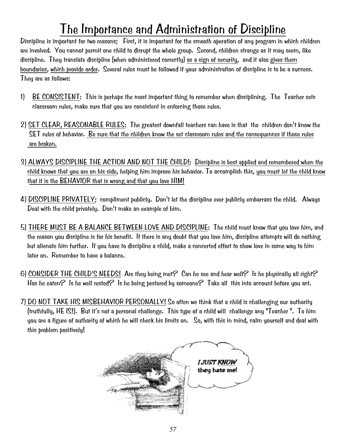## The Importance and Administration of Discipline

Discipline is important for two reasons; First, it is important for the smooth operation of any program in which children are involved. You cannot permit one child to disrupt the whole group. Second, children strange as it may seem, like discipline. They translate discipline (when administered correctly) as a sign of security, and it also gives them boundaries, which provide order. Several rules must be followed if your administration of discipline is to be a success. They are as follows:

- 1) BE CONSISTENT: This is perhaps the most important thing to remember when disciplining. The Teacher sets classroom rules, make sure that you are consistent in enforcing those rules.
- 2) SET CLEAR, REASONABLE RULES: The greatest downfall teachers can have is that the children don't know the SET rules of behavior. Be sure that the children know the set classroom rules and the consequences if those rules are broken.
- 3) ALWAYS DISCIPLINE THE ACTION AND NOT THE CHILD!: Discipline is best applied and remembered when the child knows that you are on his side, helping him improve his behavior. To accomplish this, you must let the child know that it is the BEHAVIOR that is wrong and that you love HIM!
- 4) DISCIPLINE PRIVATELY; compliment publicly. Don't let the discipline ever publicly embarrass the child. Always Deal with the child privately. Don't make an example of him.
- 5) THERE MUST BE A BALANCE BETWEEN LOVE AND DISCIPLINE: The child must know that you love him, and the reason you discipline is for his benefit. If there is any doubt that you love him, discipline attempts will do nothing but alienate him further. If you have to discipline a child, make a concerted effort to show love in some way to him later on. Remember to have a balance.
- 6) CONSIDER THE CHILD'S NEEDS! Are they being met? Can he see and hear well? Is he physically all right? Has he eaten? Is he well rested? Is he being pestered by someone? Take all this into account before you act.
- 7) DO NOT TAKE HIS MISBEHAVIOR PERSONALLY! So often we think that a child is challenging our authority (truthfully, HE IS!). But it's not a personal challenge. This type of a child will challenge any "Teacher ". To him you are a figure of authority of which he will check his limits on. So, with this in mind, calm yourself and deal with this problem positively!

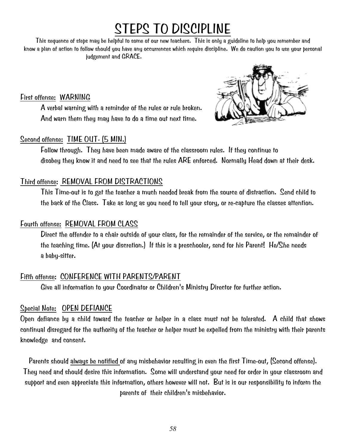## STEPS TO DISCIPLINE

This sequence of steps may be helpful to some of our new teachers. This is only a guideline to help you remember and know a plan of action to follow should you have any occurrences which require discipline. We do caution you to use your personal judgement and GRACE.

First offense: WARNING

 A verbal warning with a reminder of the rules or rule broken. And warn them they may have to do a time out next time.

### Second offense: TIME OUT- (5 MIN.)



 Follow through. They have been made aware of the classroom rules. If they continue to disobey they know it and need to see that the rules ARE enforced. Normally Head down at their desk.

### Third offense: REMOVAL FROM DISTRACTIONS

 This Time-out is to get the teacher a much needed break from the source of distraction. Send child to the back of the Class. Take as long as you need to tell your story, or re-capture the classes attention.

### Fourth offense: REMOVAL FROM CLASS

Direct the offender to a chair outside of your class, for the remainder of the service, or the remainder of the teaching time. (At your discretion.) If this is a preschooler, send for his Parent! He/She needs a baby-sitter.

## Fifth offense: CONFERENCE WITH PARENTS/PARENT

Give all information to your Coordinator or Children's Ministry Director for further action.

## Special Note: OPEN DEFIANCE

Open defiance by a child toward the teacher or helper in a class must not be tolerated. A child that shows continual disregard for the authority of the teacher or helper must be expelled from the ministry with their parents knowledge and consent.

Parents should always be notified of any misbehavior resulting in even the first Time-out, (Second offense). They need and should desire this information. Some will understand your need for order in your classroom and support and even appreciate this information, others however will not. But is is our responsibility to inform the parents of their children's misbehavior.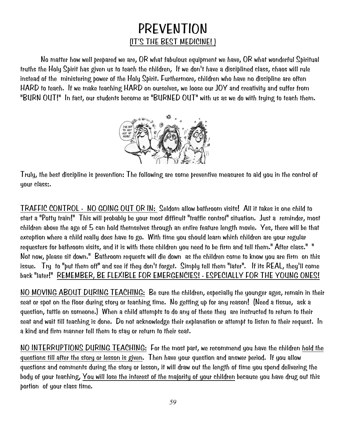## PREVENTION (IT'S THE BEST MEDICINE! )

 No matter how well prepared we are, OR what fabulous equipment we have, OR what wonderful Spiritual truths the Holy Spirit has given us to teach the children, If we don't have a disciplined class, chaos will rule instead of the ministering power of the Holy Spirit. Furthermore, children who have no discipline are often HARD to teach. If we make teaching HARD on ourselves, we loose our JOY and creativity and suffer from "BURN OUT!" In fact, our students become as "BURNED OUT" with us as we do with trying to teach them.



Truly, the best discipline is prevention: The following are some preventive measures to aid you in the control of your class:.

TRAFFIC CONTROL - NO GOING OUT OR IN: Seldom allow bathroom visits! All it takes is one child to start a "Potty train!" This will probably be your most difficult "traffic control" situation. Just a reminder, most children above the age of 5 can hold themselves through an entire feature length movie. Yes, there will be that exception where a child really does have to go. With time you should learn which children are your regular requesters for bathroom visits, and it is with these children you need to be firm and tell them." After class." " Not now, please sit down." Bathroom requests will die down as the children come to know you are firm on this issue. Try to "put them off" and see if they don't forget. Simply tell them "later". If its REAL, they'll come back "later!" REMEMBER, BE FLEXIBLE FOR EMERGENCIES! - ESPECIALLY FOR THE YOUNG ONES!

NO MOVING ABOUT DURING TEACHING: Be sure the children, especially the younger ages, remain in their seat or spot on the floor during story or teaching time. No getting up for any reason! (Need a tissue, ask a question, tattle on someone.) When a child attempts to do any of these they are instructed to return to their seat and wait till teaching is done. Do not acknowledge their explanation or attempt to listen to their request. In a kind and firm manner tell them to stay or return to their seat.

NO INTERRUPTIONS DURING TEACHING: For the most part, we recommend you have the children hold the questions till after the story or lesson is given. Then have your question and answer period. If you allow questions and comments during the story or lesson, it will draw out the length of time you spend delivering the body of your teaching, You will lose the interest of the majority of your children because you have drug out this portion of your class time.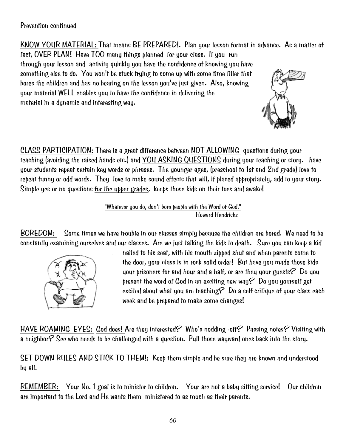### Prevention continued

KNOW YOUR MATERIAL: That means BE PREPARED!. Plan your lesson format in advance. As a matter of

fact, OVER PLAN! Have TOO many things planned for your class. If you run through your lesson and activity quickly you have the confidence of knowing you have something else to do. You won't be stuck trying to come up with some time filler that bores the children and has no bearing on the lesson you've just given. Also, knowing your material WELL enables you to have the confidence in delivering the material in a dynamic and interesting way.



CLASS PARTICIPATION: There is a great difference between NOT ALLOWING questions during your teaching (avoiding the raised hands etc.) and YOU ASKING QUESTIONS during your teaching or story. have your students repeat certain key words or phrases. The younger ages, (preschool to 1st and 2nd grade) love to repeat funny or odd words. They love to make sound effects that will, if placed appropriately, add to your story. Simple yes or no questions for the upper grades, keeps those kids on their toes and awake!

> "Whatever you do, don't bore people with the Word of God." Howard Hendricks

BOREDOM: Some times we have trouble in our classes simply because the children are bored. We need to be constantly examining ourselves and our classes. Are we just talking the kids to death. Sure you can keep a kid



nailed to his seat, with his mouth zipped shut and when parents come to the door, your class is in rock solid order! But have you made those kids your prisoners for and hour and a half, or are they your guests  $\mathcal P$  Do you present the word of God in an exciting new way? Do you yourself get excited about what you are teaching? Do a self critique of your class each week and be prepared to make some changes!

HAVE ROAMING EYES: God does! Are they interested? Who's nodding -off? Passing notes? Visiting with a neighbor? See who needs to be challenged with a question. Pull those wayward ones back into the story.

SET DOWN RULES AND STICK TO THEM!: Keep them simple and be sure they are known and understood by all.

REMEMBER: Your No. 1 goal is to minister to children. Your are not a baby sitting service! Our children are important to the Lord and He wants them ministered to as much as their parents.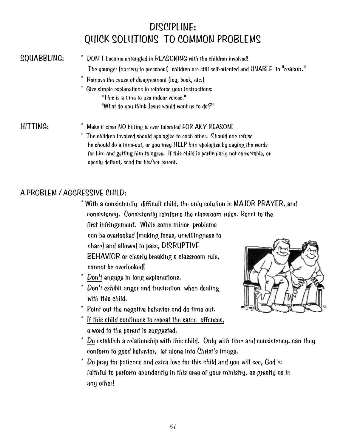## DISCIPLINE: QUICK SOLUTIONS TO COMMON PROBLEMS

- SQUABBLING: \* DON'T become entangled in REASONING with the children involved! The younger (nursery to preschool) children are still self-oriented and UNABLE to "reason."
	- \* Remove the cause of disagreement (toy, book, etc.)
	- Give simple explanations to reinforce your instructions: "This is a time to use indoor voices." "What do you think Jesus would want us to do?"

### HITTING: \* Make it clear NO hitting is ever tolerated FOR ANY REASON!

The children involved should apologize to each other. Should one refuse he should do a time-out, or you may HELP him apologize by saying the words for him and getting him to agree. If this child is particularly not correctable, or openly defiant, send for his/her parent.

## A PROBLEM / AGGRESSIVE CHILD:

- \* With a consistently difficult child, the only solution is MAJOR PRAYER, and consistency. Consistently reinforce the classroom rules. React to the first infringement. While some minor problems can be overlooked (making faces, unwillingness to share) and allowed to pass, DISRUPTIVE BEHAVIOR or clearly breaking a classroom rule, cannot be overlooked!
- \* Don't engage in long explanations.
- Don't exhibit anger and frustration when dealing with this child.
- Point out the negative behavior and do time out.
- If this child continues to repeat the same offenses, a word to the parent is suggested.



- Do establish a relationship with this child. Only with time and consistency. can they conform to good behavior, let alone into Christ's image.
- Do pray for patience and extra love for this child and you will see, God is faithful to perform abundantly in this area of your ministry, as greatly as in any other!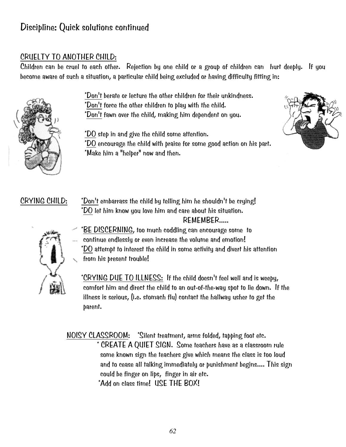## Discipline: Quick solutions continued

### CRUELTY TO ANOTHER CHILD:

Children can be cruel to each other. Rejection by one child or a group of children can hurt deeply. If you become aware of such a situation, a particular child being excluded or having difficulty fitting in:



\*Don't berate or lecture the other children for their unkindness.

- \*Don't force the other children to play with the child.
- \*Don't fawn over the child, making him dependent on you.
- \*DO step in and give the child some attention.



- \*DO encourage the child with praise for some good action on his part.
- \*Make him a "helper" now and then.

CRYING CHILD: \*Don't embarrass the child by telling him he shouldn't be crying! \*DO let him know you love him and care about his situation. REMEMBER.....



 \*BE DISCERNING, too much coddling can encourage some to continue endlessly or even increase the volume and emotion! \*DO attempt to interest the child in some activity and divert his attention from his present trouble!

 \*CRYING DUE TO ILLNESS: If the child doesn't feel well and is weepy, comfort him and direct the child to an out-of-the-way spot to lie down. If the illness is serious, (i.e. stomach flu) contact the hallway usher to get the parent.

NOISY CLASSROOM: \*Silent treatment, arms folded, tapping foot etc. \* CREATE A QUIET SIGN. Some teachers have as a classroom rule some known sign the teachers give which means the class is too loud and to cease all talking immediately or punishment begins.... This sign could be finger on lips, finger in air etc. \*Add on class time! USE THE BOX!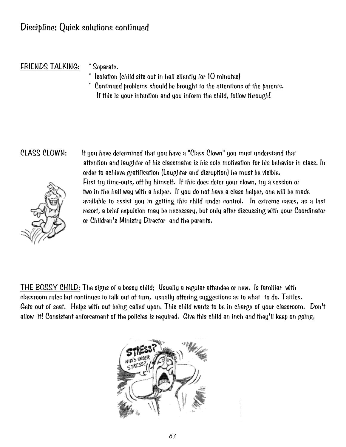### FRIENDS TALKING: \* Separate.

- - Isolation (child sits out in hall silently for 10 minutes)
- \* Continued problems should be brought to the attentions of the parents. If this is your intention and you inform the child, follow through!



CLASS CLOWN: If you have determined that you have a "Class Clown" you must understand that attention and laughter of his classmates is his sole motivation for his behavior in class. In order to achieve gratification (Laughter and disruption) he must be visible. First try time-outs, off by himself. If this does deter your clown, try a session or two in the hall way with a helper. If you do not have a class helper, one will be made available to assist you in getting this child under control. In extreme cases, as a last resort, a brief expulsion may be necessary, but only after discussing with your Coordinator or Children's Ministry Director and the parents.

THE BOSSY CHILD: The signs of a bossy child; Usually a regular attendee or new. Is familiar with classroom rules but continues to talk out of turn, usually offering suggestions as to what to do. Tattles. Gets out of seat. Helps with out being called upon. This child wants to be in charge of your classroom. Don't allow it! Consistent enforcement of the policies is required. Give this child an inch and they'll keep on going.

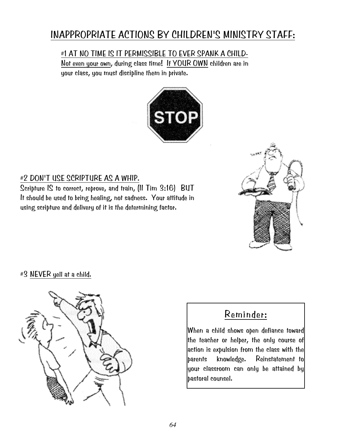## INAPPROPRIATE ACTIONS BY CHILDREN'S MINISTRY STAFF:

#1 AT NO TIME IS IT PERMISSIBLE TO EVER SPANK A CHILD-

 Not even your own, during class time! If YOUR OWN children are in your class, you must discipline them in private.



## #2 DON'T USE SCRIPTURE AS A WHIP.

Scripture IS to correct, reprove, and train, (II Tim 3:16) BUT It should be used to bring healing, not sadness. Your attitude in using scripture and delivery of it is the determining factor.



### #3 NEVER yell at a child.



## Reminder:

When a child shows open defiance toward the teacher or helper, the only course of action is expulsion from the class with the parents knowledge. Reinstatement to your classroom can only be attained by pastoral counsel.